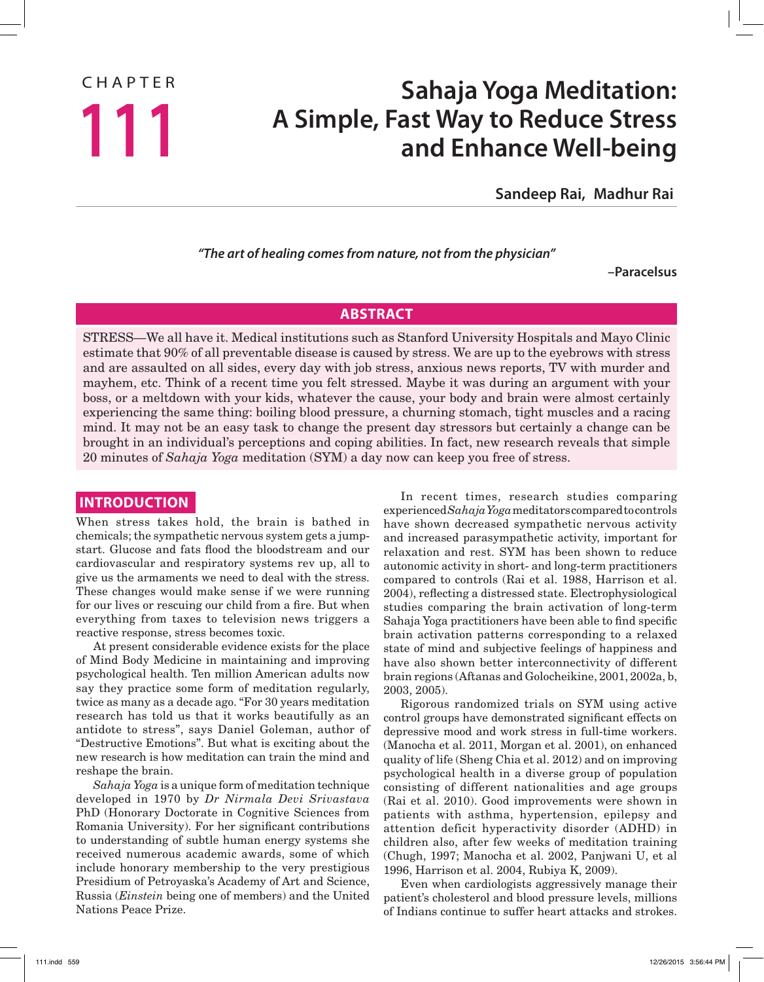# CHAPTER

## **Sahaja Yoga Meditation: A Simple, Fast Way to Reduce Stress 111 and Enhance Well-being**

**Sandeep Rai, Madhur Rai**

*"The art of healing comes from nature, not from the physician"*

**–Paracelsus**

#### **ABSTRACT**

STRESS—We all have it. Medical institutions such as Stanford University Hospitals and Mayo Clinic estimate that 90% of all preventable disease is caused by stress. We are up to the eyebrows with stress and are assaulted on all sides, every day with job stress, anxious news reports, TV with murder and mayhem, etc. Think of a recent time you felt stressed. Maybe it was during an argument with your boss, or a meltdown with your kids, whatever the cause, your body and brain were almost certainly experiencing the same thing: boiling blood pressure, a churning stomach, tight muscles and a racing mind. It may not be an easy task to change the present day stressors but certainly a change can be brought in an individual's perceptions and coping abilities. In fact, new research reveals that simple 20 minutes of *Sahaja Yoga* meditation (SYM) a day now can keep you free of stress.

### **INTRODUCTION**

When stress takes hold, the brain is bathed in chemicals; the sympathetic nervous system gets a jumpstart. Glucose and fats flood the bloodstream and our cardiovascular and respiratory systems rev up, all to give us the armaments we need to deal with the stress. These changes would make sense if we were running for our lives or rescuing our child from a fire. But when everything from taxes to television news triggers a reactive response, stress becomes toxic.

At present considerable evidence exists for the place of Mind Body Medicine in maintaining and improving psychological health. Ten million American adults now say they practice some form of meditation regularly, twice as many as a decade ago. "For 30 years meditation research has told us that it works beautifully as an antidote to stress", says Daniel Goleman, author of "Destructive Emotions". But what is exciting about the new research is how meditation can train the mind and reshape the brain.

*Sahaja Yoga* is a unique form of meditation technique developed in 1970 by *Dr Nirmala Devi Srivastava* PhD (Honorary Doctorate in Cognitive Sciences from Romania University). For her significant contributions to understanding of subtle human energy systems she received numerous academic awards, some of which include honorary membership to the very prestigious Presidium of Petroyaska's Academy of Art and Science, Russia (*Einstein* being one of members) and the United Nations Peace Prize.

In recent times, research studies comparing experienced *Sahaja Yoga* meditators compared to controls have shown decreased sympathetic nervous activity and increased parasympathetic activity, important for relaxation and rest. SYM has been shown to reduce autonomic activity in short- and long-term practitioners compared to controls (Rai et al. 1988, Harrison et al. 2004), reflecting a distressed state. Electrophysiological studies comparing the brain activation of long-term Sahaja Yoga practitioners have been able to find specific brain activation patterns corresponding to a relaxed state of mind and subjective feelings of happiness and have also shown better interconnectivity of different brain regions (Aftanas and Golocheikine, 2001, 2002a, b, 2003, 2005).

Rigorous randomized trials on SYM using active control groups have demonstrated significant effects on depressive mood and work stress in full-time workers. (Manocha et al. 2011, Morgan et al. 2001), on enhanced quality of life (Sheng Chia et al. 2012) and on improving psychological health in a diverse group of population consisting of different nationalities and age groups (Rai et al. 2010). Good improvements were shown in patients with asthma, hypertension, epilepsy and attention deficit hyperactivity disorder (ADHD) in children also, after few weeks of meditation training (Chugh, 1997; Manocha et al. 2002, Panjwani U, et al 1996, Harrison et al. 2004, Rubiya K, 2009).

Even when cardiologists aggressively manage their patient's cholesterol and blood pressure levels, millions of Indians continue to suffer heart attacks and strokes.